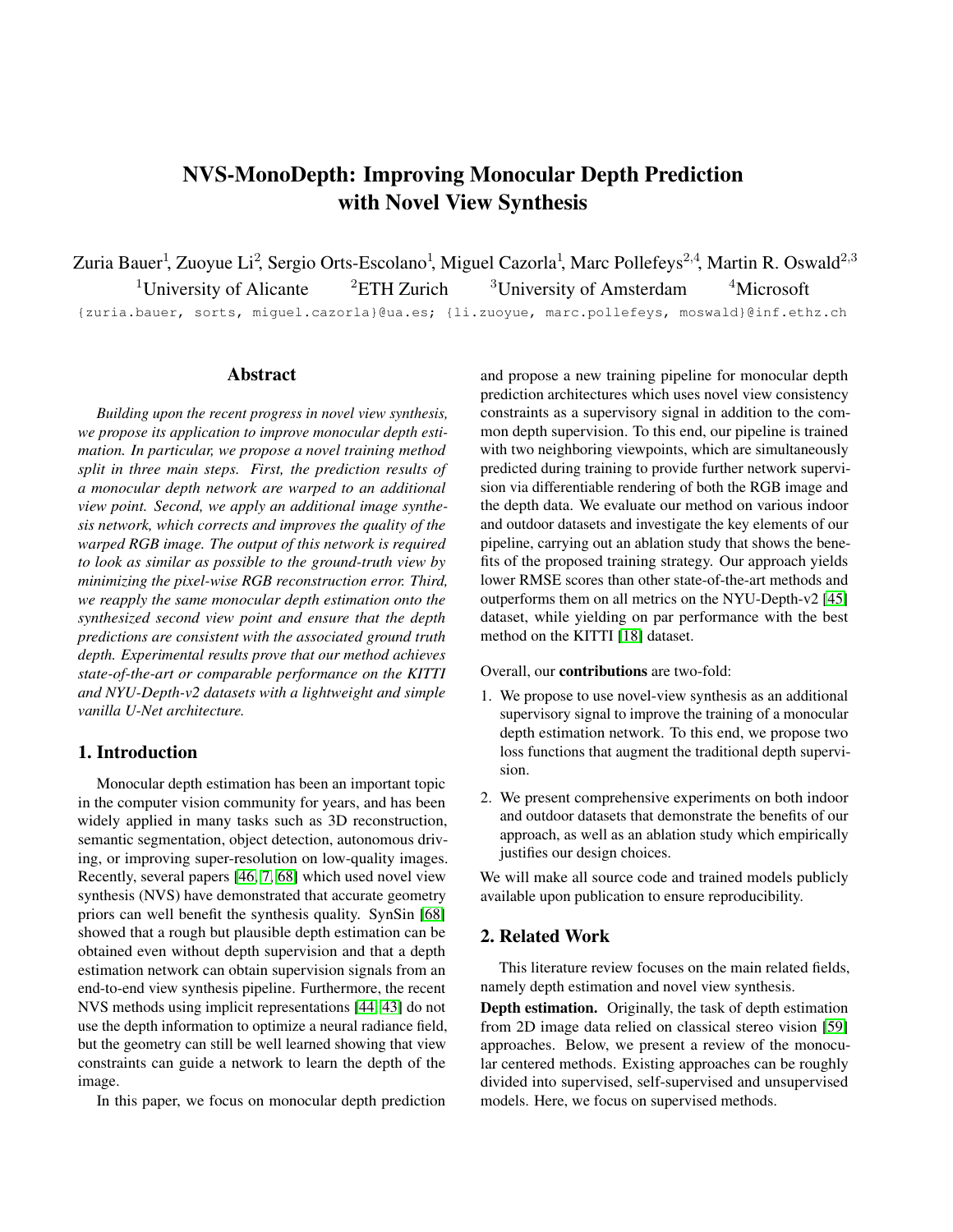# NVS-MonoDepth: Improving Monocular Depth Prediction with Novel View Synthesis

Zuria Bauer<sup>1</sup>, Zuoyue Li<sup>2</sup>, Sergio Orts-Escolano<sup>1</sup>, Miguel Cazorla<sup>1</sup>, Marc Pollefeys<sup>2,4</sup>, Martin R. Oswald<sup>2,3</sup> <sup>1</sup>University of Alicante <sup>2</sup>ETH Zurich <sup>3</sup>University of Amsterdam <sup>4</sup>Microsoft {zuria.bauer, sorts, miguel.cazorla}@ua.es; {li.zuoyue, marc.pollefeys, moswald}@inf.ethz.ch

#### Abstract

*Building upon the recent progress in novel view synthesis, we propose its application to improve monocular depth estimation. In particular, we propose a novel training method split in three main steps. First, the prediction results of a monocular depth network are warped to an additional view point. Second, we apply an additional image synthesis network, which corrects and improves the quality of the warped RGB image. The output of this network is required to look as similar as possible to the ground-truth view by minimizing the pixel-wise RGB reconstruction error. Third, we reapply the same monocular depth estimation onto the synthesized second view point and ensure that the depth predictions are consistent with the associated ground truth depth. Experimental results prove that our method achieves state-of-the-art or comparable performance on the KITTI and NYU-Depth-v2 datasets with a lightweight and simple vanilla U-Net architecture.*

# 1. Introduction

Monocular depth estimation has been an important topic in the computer vision community for years, and has been widely applied in many tasks such as 3D reconstruction, semantic segmentation, object detection, autonomous driving, or improving super-resolution on low-quality images. Recently, several papers [\[46,](#page-9-0) [7,](#page-8-0) [68\]](#page-10-0) which used novel view synthesis (NVS) have demonstrated that accurate geometry priors can well benefit the synthesis quality. SynSin [\[68\]](#page-10-0) showed that a rough but plausible depth estimation can be obtained even without depth supervision and that a depth estimation network can obtain supervision signals from an end-to-end view synthesis pipeline. Furthermore, the recent NVS methods using implicit representations [\[44,](#page-9-1) [43\]](#page-9-2) do not use the depth information to optimize a neural radiance field, but the geometry can still be well learned showing that view constraints can guide a network to learn the depth of the image.

In this paper, we focus on monocular depth prediction

and propose a new training pipeline for monocular depth prediction architectures which uses novel view consistency constraints as a supervisory signal in addition to the common depth supervision. To this end, our pipeline is trained with two neighboring viewpoints, which are simultaneously predicted during training to provide further network supervision via differentiable rendering of both the RGB image and the depth data. We evaluate our method on various indoor and outdoor datasets and investigate the key elements of our pipeline, carrying out an ablation study that shows the benefits of the proposed training strategy. Our approach yields lower RMSE scores than other state-of-the-art methods and outperforms them on all metrics on the NYU-Depth-v2 [\[45\]](#page-9-3) dataset, while yielding on par performance with the best method on the KITTI [\[18\]](#page-8-1) dataset.

Overall, our contributions are two-fold:

- 1. We propose to use novel-view synthesis as an additional supervisory signal to improve the training of a monocular depth estimation network. To this end, we propose two loss functions that augment the traditional depth supervision.
- 2. We present comprehensive experiments on both indoor and outdoor datasets that demonstrate the benefits of our approach, as well as an ablation study which empirically justifies our design choices.

We will make all source code and trained models publicly available upon publication to ensure reproducibility.

## 2. Related Work

This literature review focuses on the main related fields, namely depth estimation and novel view synthesis.

Depth estimation. Originally, the task of depth estimation from 2D image data relied on classical stereo vision [\[59\]](#page-10-1) approaches. Below, we present a review of the monocular centered methods. Existing approaches can be roughly divided into supervised, self-supervised and unsupervised models. Here, we focus on supervised methods.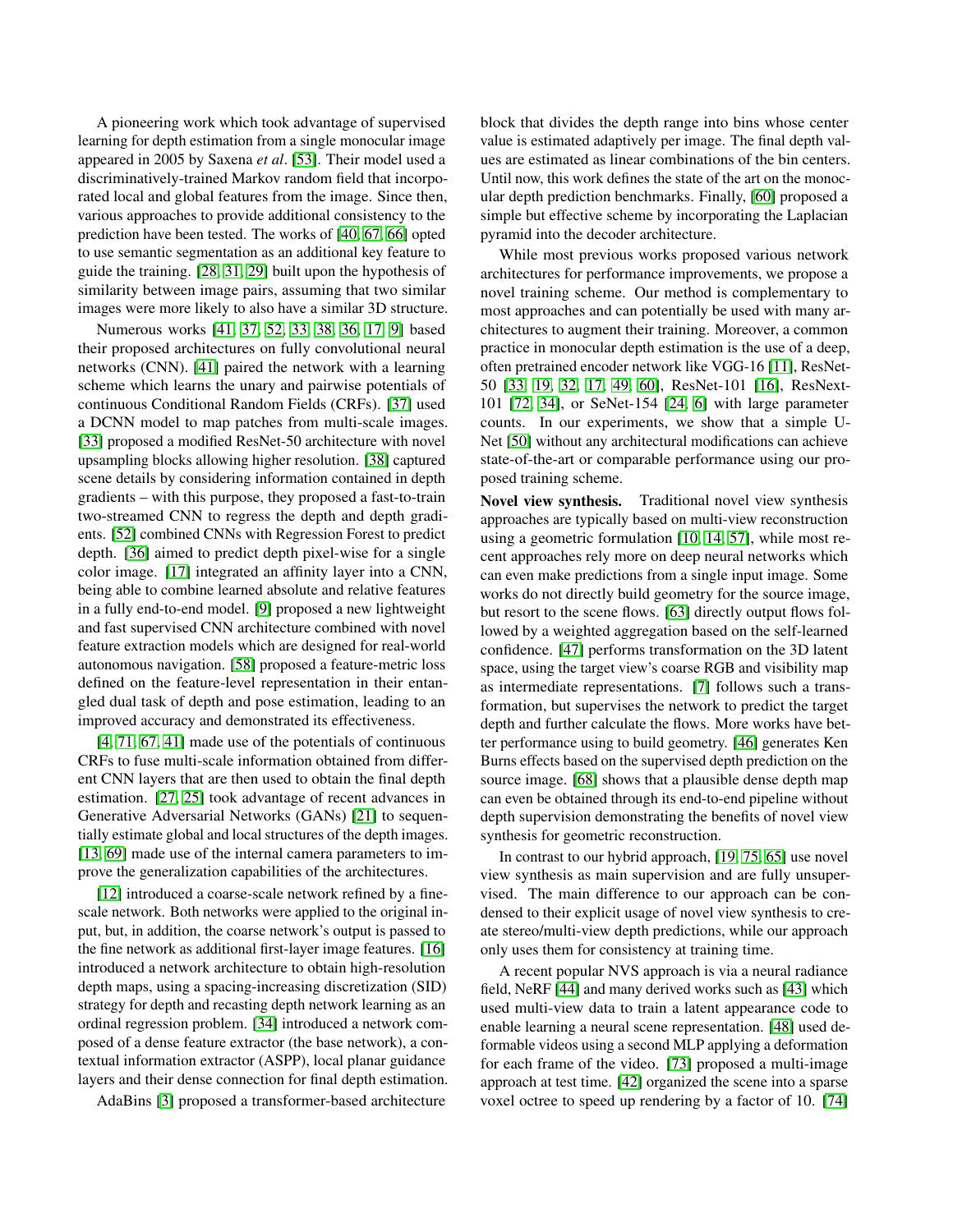A pioneering work which took advantage of supervised learning for depth estimation from a single monocular image appeared in 2005 by Saxena *et al*. [\[53\]](#page-9-4). Their model used a discriminatively-trained Markov random field that incorporated local and global features from the image. Since then, various approaches to provide additional consistency to the prediction have been tested. The works of [\[40,](#page-9-5) [67,](#page-10-2) [66\]](#page-10-3) opted to use semantic segmentation as an additional key feature to guide the training. [\[28,](#page-9-6) [31,](#page-9-7) [29\]](#page-9-8) built upon the hypothesis of similarity between image pairs, assuming that two similar images were more likely to also have a similar 3D structure.

Numerous works [\[41,](#page-9-9) [37,](#page-9-10) [52,](#page-9-11) [33,](#page-9-12) [38,](#page-9-13) [36,](#page-9-14) [17,](#page-8-2) [9\]](#page-8-3) based their proposed architectures on fully convolutional neural networks (CNN). [\[41\]](#page-9-9) paired the network with a learning scheme which learns the unary and pairwise potentials of continuous Conditional Random Fields (CRFs). [\[37\]](#page-9-10) used a DCNN model to map patches from multi-scale images. [\[33\]](#page-9-12) proposed a modified ResNet-50 architecture with novel upsampling blocks allowing higher resolution. [\[38\]](#page-9-13) captured scene details by considering information contained in depth gradients – with this purpose, they proposed a fast-to-train two-streamed CNN to regress the depth and depth gradients. [\[52\]](#page-9-11) combined CNNs with Regression Forest to predict depth. [\[36\]](#page-9-14) aimed to predict depth pixel-wise for a single color image. [\[17\]](#page-8-2) integrated an affinity layer into a CNN, being able to combine learned absolute and relative features in a fully end-to-end model. [\[9\]](#page-8-3) proposed a new lightweight and fast supervised CNN architecture combined with novel feature extraction models which are designed for real-world autonomous navigation. [\[58\]](#page-10-4) proposed a feature-metric loss defined on the feature-level representation in their entangled dual task of depth and pose estimation, leading to an improved accuracy and demonstrated its effectiveness.

[\[4,](#page-8-4) [71,](#page-10-5) [67,](#page-10-2) [41\]](#page-9-9) made use of the potentials of continuous CRFs to fuse multi-scale information obtained from different CNN layers that are then used to obtain the final depth estimation. [\[27,](#page-9-15) [25\]](#page-9-16) took advantage of recent advances in Generative Adversarial Networks (GANs) [\[21\]](#page-8-5) to sequentially estimate global and local structures of the depth images. [\[13,](#page-8-6) [69\]](#page-10-6) made use of the internal camera parameters to improve the generalization capabilities of the architectures.

[\[12\]](#page-8-7) introduced a coarse-scale network refined by a finescale network. Both networks were applied to the original input, but, in addition, the coarse network's output is passed to the fine network as additional first-layer image features. [\[16\]](#page-8-8) introduced a network architecture to obtain high-resolution depth maps, using a spacing-increasing discretization (SID) strategy for depth and recasting depth network learning as an ordinal regression problem. [\[34\]](#page-9-17) introduced a network composed of a dense feature extractor (the base network), a contextual information extractor (ASPP), local planar guidance layers and their dense connection for final depth estimation.

AdaBins [\[3\]](#page-8-9) proposed a transformer-based architecture

block that divides the depth range into bins whose center value is estimated adaptively per image. The final depth values are estimated as linear combinations of the bin centers. Until now, this work defines the state of the art on the monocular depth prediction benchmarks. Finally, [\[60\]](#page-10-7) proposed a simple but effective scheme by incorporating the Laplacian pyramid into the decoder architecture.

While most previous works proposed various network architectures for performance improvements, we propose a novel training scheme. Our method is complementary to most approaches and can potentially be used with many architectures to augment their training. Moreover, a common practice in monocular depth estimation is the use of a deep, often pretrained encoder network like VGG-16 [\[11\]](#page-8-10), ResNet-50 [\[33,](#page-9-12) [19,](#page-8-11) [32,](#page-9-18) [17,](#page-8-2) [49,](#page-9-19) [60\]](#page-10-7), ResNet-101 [\[16\]](#page-8-8), ResNext-101 [\[72,](#page-10-8) [34\]](#page-9-17), or SeNet-154 [\[24,](#page-8-12) [6\]](#page-8-13) with large parameter counts. In our experiments, we show that a simple U-Net [\[50\]](#page-9-20) without any architectural modifications can achieve state-of-the-art or comparable performance using our proposed training scheme.

Novel view synthesis. Traditional novel view synthesis approaches are typically based on multi-view reconstruction using a geometric formulation [\[10,](#page-8-14) [14,](#page-8-15) [57\]](#page-10-9), while most recent approaches rely more on deep neural networks which can even make predictions from a single input image. Some works do not directly build geometry for the source image, but resort to the scene flows. [\[63\]](#page-10-10) directly output flows followed by a weighted aggregation based on the self-learned confidence. [\[47\]](#page-9-21) performs transformation on the 3D latent space, using the target view's coarse RGB and visibility map as intermediate representations. [\[7\]](#page-8-0) follows such a transformation, but supervises the network to predict the target depth and further calculate the flows. More works have better performance using to build geometry. [\[46\]](#page-9-0) generates Ken Burns effects based on the supervised depth prediction on the source image. [\[68\]](#page-10-0) shows that a plausible dense depth map can even be obtained through its end-to-end pipeline without depth supervision demonstrating the benefits of novel view synthesis for geometric reconstruction.

In contrast to our hybrid approach, [\[19,](#page-8-11) [75,](#page-10-11) [65\]](#page-10-12) use novel view synthesis as main supervision and are fully unsupervised. The main difference to our approach can be condensed to their explicit usage of novel view synthesis to create stereo/multi-view depth predictions, while our approach only uses them for consistency at training time.

A recent popular NVS approach is via a neural radiance field, NeRF [\[44\]](#page-9-1) and many derived works such as [\[43\]](#page-9-2) which used multi-view data to train a latent appearance code to enable learning a neural scene representation. [\[48\]](#page-9-22) used deformable videos using a second MLP applying a deformation for each frame of the video. [\[73\]](#page-10-13) proposed a multi-image approach at test time. [\[42\]](#page-9-23) organized the scene into a sparse voxel octree to speed up rendering by a factor of 10. [\[74\]](#page-10-14)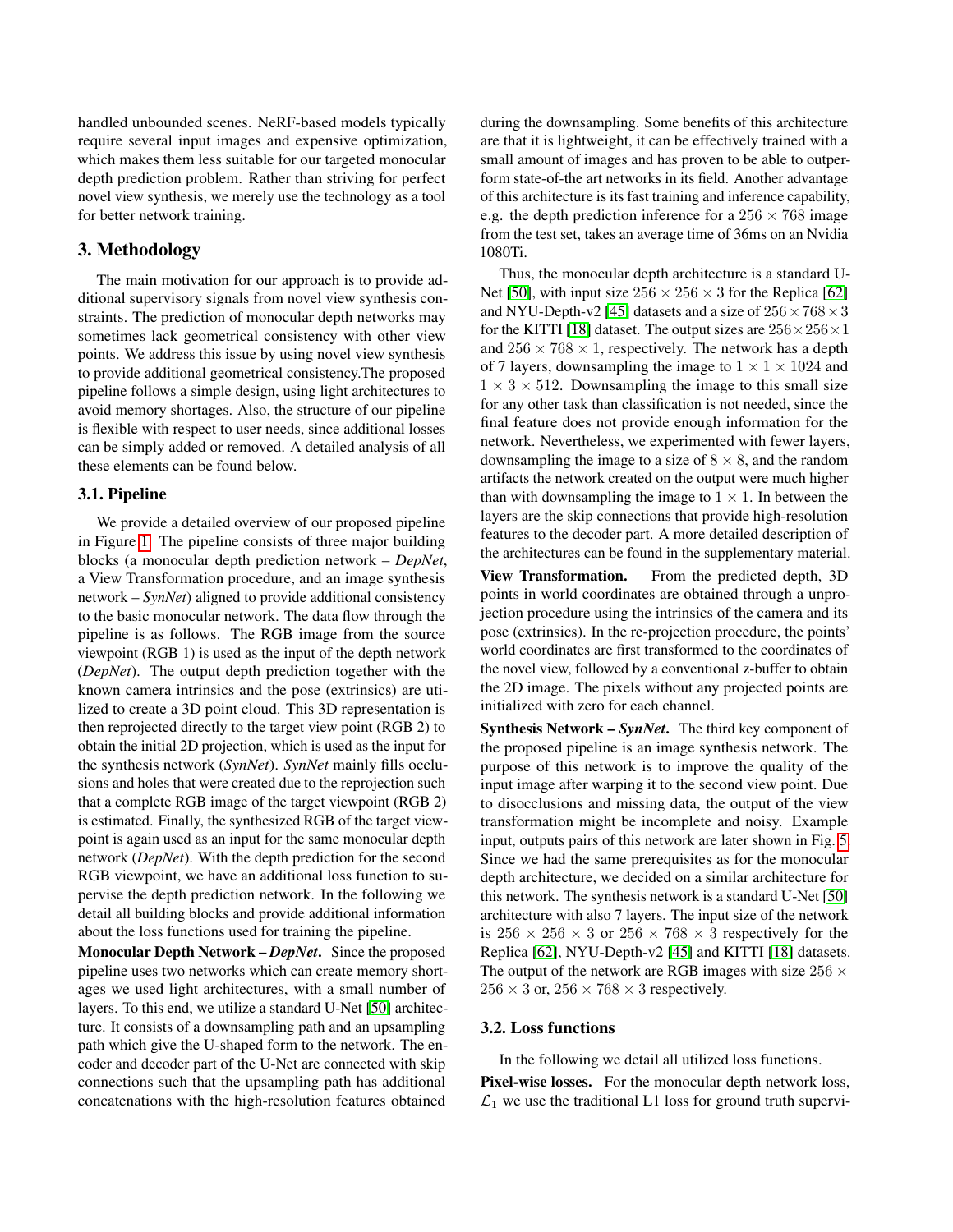handled unbounded scenes. NeRF-based models typically require several input images and expensive optimization, which makes them less suitable for our targeted monocular depth prediction problem. Rather than striving for perfect novel view synthesis, we merely use the technology as a tool for better network training.

## 3. Methodology

The main motivation for our approach is to provide additional supervisory signals from novel view synthesis constraints. The prediction of monocular depth networks may sometimes lack geometrical consistency with other view points. We address this issue by using novel view synthesis to provide additional geometrical consistency.The proposed pipeline follows a simple design, using light architectures to avoid memory shortages. Also, the structure of our pipeline is flexible with respect to user needs, since additional losses can be simply added or removed. A detailed analysis of all these elements can be found below.

#### 3.1. Pipeline

We provide a detailed overview of our proposed pipeline in Figure [1.](#page-3-0) The pipeline consists of three major building blocks (a monocular depth prediction network – *DepNet*, a View Transformation procedure, and an image synthesis network – *SynNet*) aligned to provide additional consistency to the basic monocular network. The data flow through the pipeline is as follows. The RGB image from the source viewpoint (RGB 1) is used as the input of the depth network (*DepNet*). The output depth prediction together with the known camera intrinsics and the pose (extrinsics) are utilized to create a 3D point cloud. This 3D representation is then reprojected directly to the target view point (RGB 2) to obtain the initial 2D projection, which is used as the input for the synthesis network (*SynNet*). *SynNet* mainly fills occlusions and holes that were created due to the reprojection such that a complete RGB image of the target viewpoint (RGB 2) is estimated. Finally, the synthesized RGB of the target viewpoint is again used as an input for the same monocular depth network (*DepNet*). With the depth prediction for the second RGB viewpoint, we have an additional loss function to supervise the depth prediction network. In the following we detail all building blocks and provide additional information about the loss functions used for training the pipeline.

Monocular Depth Network – *DepNet*. Since the proposed pipeline uses two networks which can create memory shortages we used light architectures, with a small number of layers. To this end, we utilize a standard U-Net [\[50\]](#page-9-20) architecture. It consists of a downsampling path and an upsampling path which give the U-shaped form to the network. The encoder and decoder part of the U-Net are connected with skip connections such that the upsampling path has additional concatenations with the high-resolution features obtained

during the downsampling. Some benefits of this architecture are that it is lightweight, it can be effectively trained with a small amount of images and has proven to be able to outperform state-of-the art networks in its field. Another advantage of this architecture is its fast training and inference capability, e.g. the depth prediction inference for a  $256 \times 768$  image from the test set, takes an average time of 36ms on an Nvidia 1080Ti.

Thus, the monocular depth architecture is a standard U-Net [\[50\]](#page-9-20), with input size  $256 \times 256 \times 3$  for the Replica [\[62\]](#page-10-15) and NYU-Depth-v2 [\[45\]](#page-9-3) datasets and a size of  $256 \times 768 \times 3$ for the KITTI [\[18\]](#page-8-1) dataset. The output sizes are  $256 \times 256 \times 1$ and  $256 \times 768 \times 1$ , respectively. The network has a depth of 7 layers, downsampling the image to  $1 \times 1 \times 1024$  and  $1 \times 3 \times 512$ . Downsampling the image to this small size for any other task than classification is not needed, since the final feature does not provide enough information for the network. Nevertheless, we experimented with fewer layers, downsampling the image to a size of  $8 \times 8$ , and the random artifacts the network created on the output were much higher than with downsampling the image to  $1 \times 1$ . In between the layers are the skip connections that provide high-resolution features to the decoder part. A more detailed description of the architectures can be found in the supplementary material.

View Transformation. From the predicted depth, 3D points in world coordinates are obtained through a unprojection procedure using the intrinsics of the camera and its pose (extrinsics). In the re-projection procedure, the points' world coordinates are first transformed to the coordinates of the novel view, followed by a conventional z-buffer to obtain the 2D image. The pixels without any projected points are initialized with zero for each channel.

Synthesis Network – *SynNet*. The third key component of the proposed pipeline is an image synthesis network. The purpose of this network is to improve the quality of the input image after warping it to the second view point. Due to disocclusions and missing data, the output of the view transformation might be incomplete and noisy. Example input, outputs pairs of this network are later shown in Fig. [5.](#page-7-0) Since we had the same prerequisites as for the monocular depth architecture, we decided on a similar architecture for this network. The synthesis network is a standard U-Net [\[50\]](#page-9-20) architecture with also 7 layers. The input size of the network is  $256 \times 256 \times 3$  or  $256 \times 768 \times 3$  respectively for the Replica [\[62\]](#page-10-15), NYU-Depth-v2 [\[45\]](#page-9-3) and KITTI [\[18\]](#page-8-1) datasets. The output of the network are RGB images with size 256  $\times$  $256 \times 3$  or,  $256 \times 768 \times 3$  respectively.

#### 3.2. Loss functions

In the following we detail all utilized loss functions.

Pixel-wise losses. For the monocular depth network loss,  $\mathcal{L}_1$  we use the traditional L1 loss for ground truth supervi-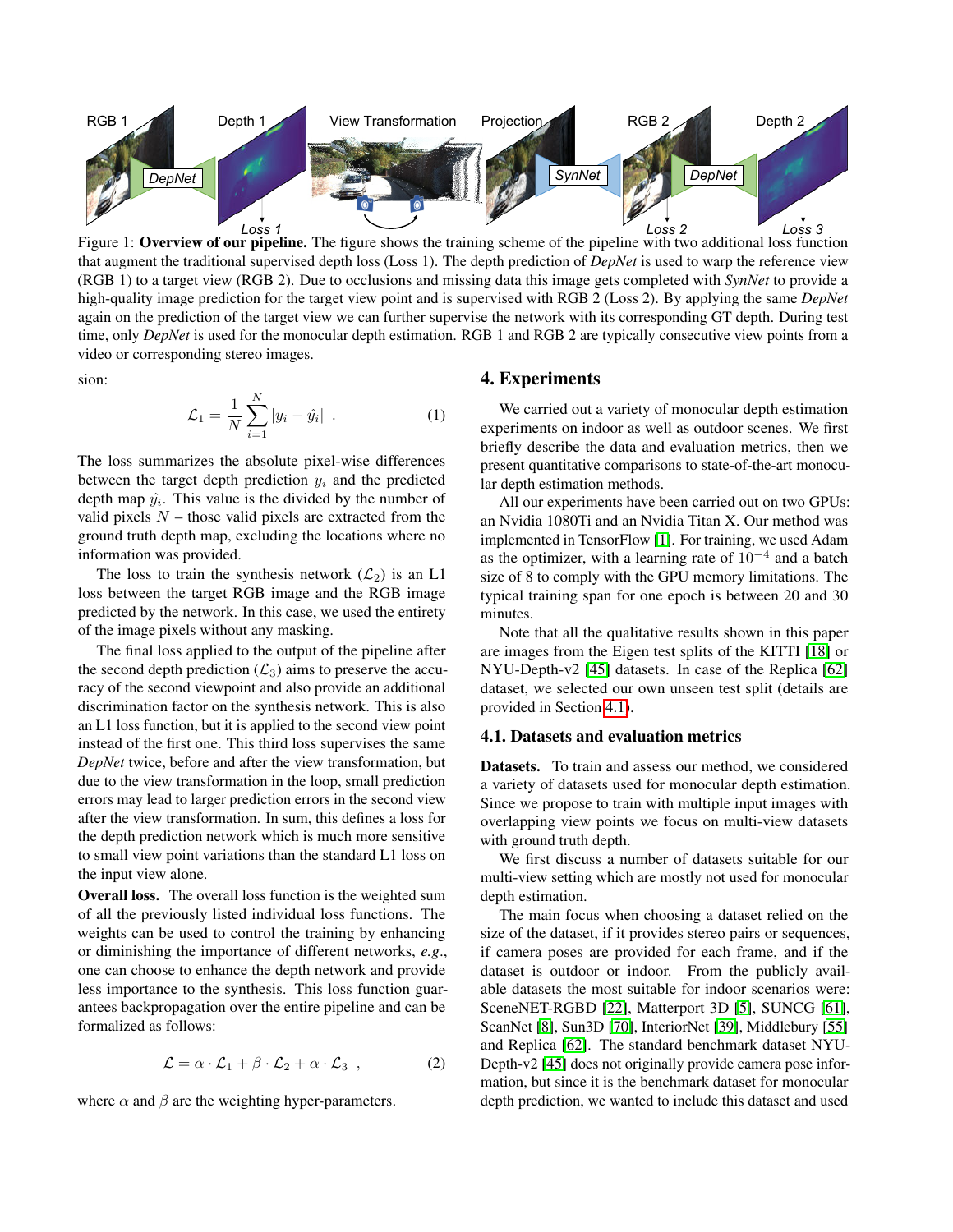<span id="page-3-0"></span>

Figure 1: Overview of our pipeline. The figure shows the training scheme of the pipeline with two additional loss function that augment the traditional supervised depth loss (Loss 1). The depth prediction of *DepNet* is used to warp the reference view (RGB 1) to a target view (RGB 2). Due to occlusions and missing data this image gets completed with *SynNet* to provide a high-quality image prediction for the target view point and is supervised with RGB 2 (Loss 2). By applying the same *DepNet* again on the prediction of the target view we can further supervise the network with its corresponding GT depth. During test time, only *DepNet* is used for the monocular depth estimation. RGB 1 and RGB 2 are typically consecutive view points from a video or corresponding stereo images.

sion:

$$
\mathcal{L}_1 = \frac{1}{N} \sum_{i=1}^{N} |y_i - \hat{y}_i| \tag{1}
$$

The loss summarizes the absolute pixel-wise differences between the target depth prediction  $y_i$  and the predicted depth map  $\hat{y}_i$ . This value is the divided by the number of valid pixels  $N$  – those valid pixels are extracted from the ground truth depth map, excluding the locations where no information was provided.

The loss to train the synthesis network  $(\mathcal{L}_2)$  is an L1 loss between the target RGB image and the RGB image predicted by the network. In this case, we used the entirety of the image pixels without any masking.

The final loss applied to the output of the pipeline after the second depth prediction  $(\mathcal{L}_3)$  aims to preserve the accuracy of the second viewpoint and also provide an additional discrimination factor on the synthesis network. This is also an L1 loss function, but it is applied to the second view point instead of the first one. This third loss supervises the same *DepNet* twice, before and after the view transformation, but due to the view transformation in the loop, small prediction errors may lead to larger prediction errors in the second view after the view transformation. In sum, this defines a loss for the depth prediction network which is much more sensitive to small view point variations than the standard L1 loss on the input view alone.

Overall loss. The overall loss function is the weighted sum of all the previously listed individual loss functions. The weights can be used to control the training by enhancing or diminishing the importance of different networks, *e.g*., one can choose to enhance the depth network and provide less importance to the synthesis. This loss function guarantees backpropagation over the entire pipeline and can be formalized as follows:

$$
\mathcal{L} = \alpha \cdot \mathcal{L}_1 + \beta \cdot \mathcal{L}_2 + \alpha \cdot \mathcal{L}_3 , \qquad (2)
$$

where  $\alpha$  and  $\beta$  are the weighting hyper-parameters.

#### 4. Experiments

We carried out a variety of monocular depth estimation experiments on indoor as well as outdoor scenes. We first briefly describe the data and evaluation metrics, then we present quantitative comparisons to state-of-the-art monocular depth estimation methods.

All our experiments have been carried out on two GPUs: an Nvidia 1080Ti and an Nvidia Titan X. Our method was implemented in TensorFlow [\[1\]](#page-8-16). For training, we used Adam as the optimizer, with a learning rate of  $10^{-4}$  and a batch size of 8 to comply with the GPU memory limitations. The typical training span for one epoch is between 20 and 30 minutes.

Note that all the qualitative results shown in this paper are images from the Eigen test splits of the KITTI [\[18\]](#page-8-1) or NYU-Depth-v2 [\[45\]](#page-9-3) datasets. In case of the Replica [\[62\]](#page-10-15) dataset, we selected our own unseen test split (details are provided in Section [4.1\)](#page-3-1).

## <span id="page-3-1"></span>4.1. Datasets and evaluation metrics

Datasets. To train and assess our method, we considered a variety of datasets used for monocular depth estimation. Since we propose to train with multiple input images with overlapping view points we focus on multi-view datasets with ground truth depth.

We first discuss a number of datasets suitable for our multi-view setting which are mostly not used for monocular depth estimation.

The main focus when choosing a dataset relied on the size of the dataset, if it provides stereo pairs or sequences, if camera poses are provided for each frame, and if the dataset is outdoor or indoor. From the publicly available datasets the most suitable for indoor scenarios were: SceneNET-RGBD [\[22\]](#page-8-17), Matterport 3D [\[5\]](#page-8-18), SUNCG [\[61\]](#page-10-16), ScanNet [\[8\]](#page-8-19), Sun3D [\[70\]](#page-10-17), InteriorNet [\[39\]](#page-9-24), Middlebury [\[55\]](#page-10-18) and Replica [\[62\]](#page-10-15). The standard benchmark dataset NYU-Depth-v2 [\[45\]](#page-9-3) does not originally provide camera pose information, but since it is the benchmark dataset for monocular depth prediction, we wanted to include this dataset and used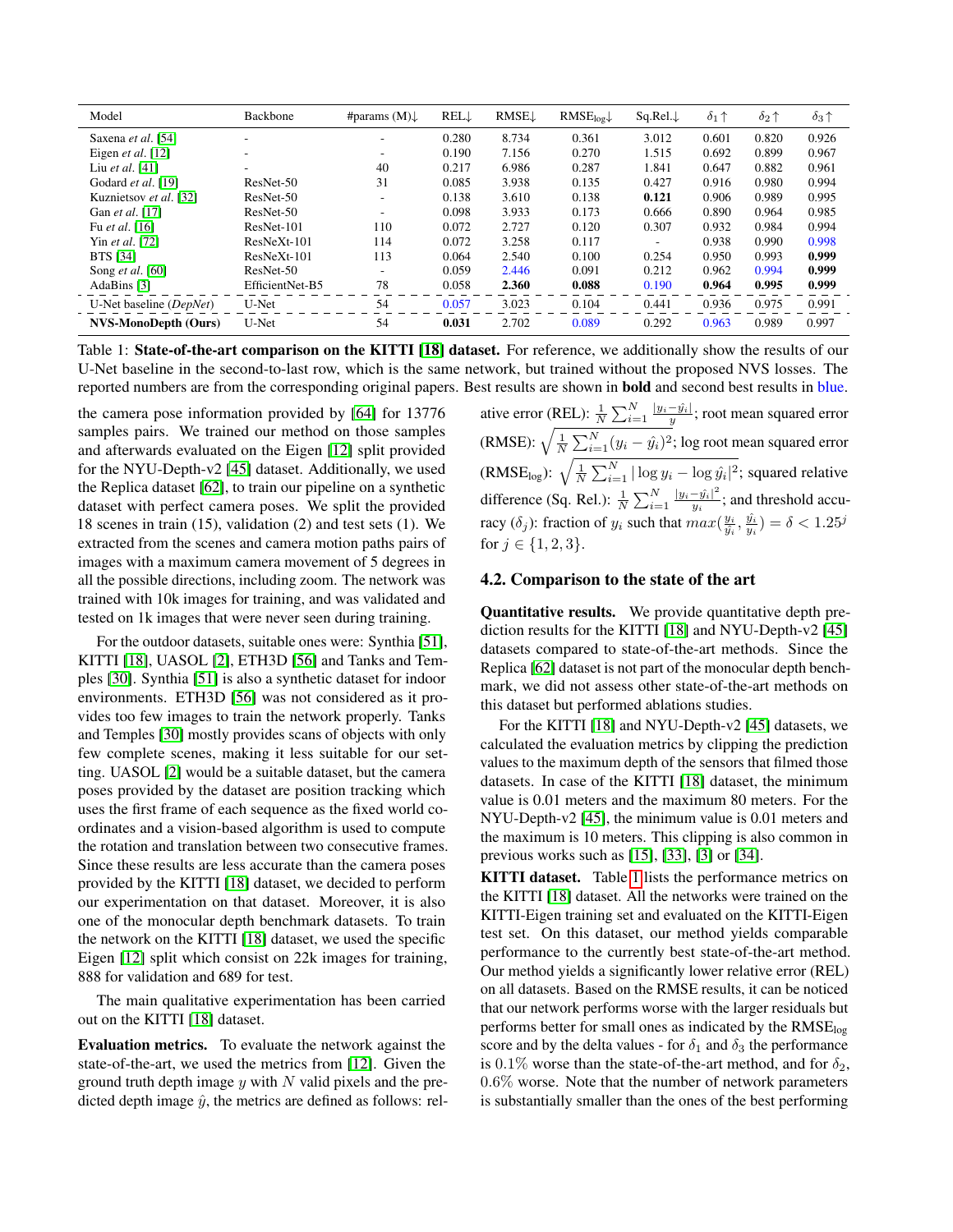<span id="page-4-0"></span>

| Model                       | Backbone        | #params $(M)$ .          | RELL  | <b>RMSE</b> | $\text{RMSE}_{\text{log}}\downarrow$ | $Sq.Rel. \downarrow$     | $\delta_1\,\uparrow$ | $\delta_2\uparrow$ | $\delta_3\,\uparrow$ |
|-----------------------------|-----------------|--------------------------|-------|-------------|--------------------------------------|--------------------------|----------------------|--------------------|----------------------|
| Saxena et al. [54]          |                 |                          | 0.280 | 8.734       | 0.361                                | 3.012                    | 0.601                | 0.820              | 0.926                |
| Eigen et al. $[12]$         | ۰               | $\overline{\phantom{a}}$ | 0.190 | 7.156       | 0.270                                | 1.515                    | 0.692                | 0.899              | 0.967                |
| Liu et al. $[41]$           | ۰.              | 40                       | 0.217 | 6.986       | 0.287                                | 1.841                    | 0.647                | 0.882              | 0.961                |
| Godard et al. [19]          | ResNet-50       | 31                       | 0.085 | 3.938       | 0.135                                | 0.427                    | 0.916                | 0.980              | 0.994                |
| Kuznietsov et al. [32]      | ResNet-50       | $\overline{\phantom{a}}$ | 0.138 | 3.610       | 0.138                                | 0.121                    | 0.906                | 0.989              | 0.995                |
| Gan et al. [17]             | ResNet-50       | $\overline{\phantom{a}}$ | 0.098 | 3.933       | 0.173                                | 0.666                    | 0.890                | 0.964              | 0.985                |
| Fu et al. [16]              | ResNet-101      | 110                      | 0.072 | 2.727       | 0.120                                | 0.307                    | 0.932                | 0.984              | 0.994                |
| Yin et al. [72]             | $ResNeXt-101$   | 114                      | 0.072 | 3.258       | 0.117                                | $\overline{\phantom{a}}$ | 0.938                | 0.990              | 0.998                |
| <b>BTS</b> [34]             | $ResNeXt-101$   | 113                      | 0.064 | 2.540       | 0.100                                | 0.254                    | 0.950                | 0.993              | 0.999                |
| Song <i>et al.</i> [60]     | ResNet-50       |                          | 0.059 | 2.446       | 0.091                                | 0.212                    | 0.962                | 0.994              | 0.999                |
| AdaBins [3]                 | EfficientNet-B5 | 78                       | 0.058 | 2.360       | 0.088                                | 0.190                    | 0.964                | 0.995              | 0.999                |
| U-Net baseline (DepNet)     | U-Net           | 54                       | 0.057 | 3.023       | 0.104                                | 0.441                    | 0.936                | 0.975              | 0.991                |
| <b>NVS-MonoDepth (Ours)</b> | U-Net           | 54                       | 0.031 | 2.702       | 0.089                                | 0.292                    | 0.963                | 0.989              | 0.997                |

Table 1: State-of-the-art comparison on the KITTI [\[18\]](#page-8-1) dataset. For reference, we additionally show the results of our U-Net baseline in the second-to-last row, which is the same network, but trained without the proposed NVS losses. The reported numbers are from the corresponding original papers. Best results are shown in bold and second best results in blue.

the camera pose information provided by [\[64\]](#page-10-20) for 13776 samples pairs. We trained our method on those samples and afterwards evaluated on the Eigen [\[12\]](#page-8-7) split provided for the NYU-Depth-v2 [\[45\]](#page-9-3) dataset. Additionally, we used the Replica dataset [\[62\]](#page-10-15), to train our pipeline on a synthetic dataset with perfect camera poses. We split the provided 18 scenes in train (15), validation (2) and test sets (1). We extracted from the scenes and camera motion paths pairs of images with a maximum camera movement of 5 degrees in all the possible directions, including zoom. The network was trained with 10k images for training, and was validated and tested on 1k images that were never seen during training.

For the outdoor datasets, suitable ones were: Synthia [\[51\]](#page-9-25), KITTI [\[18\]](#page-8-1), UASOL [\[2\]](#page-8-20), ETH3D [\[56\]](#page-10-21) and Tanks and Temples [\[30\]](#page-9-26). Synthia [\[51\]](#page-9-25) is also a synthetic dataset for indoor environments. ETH3D [\[56\]](#page-10-21) was not considered as it provides too few images to train the network properly. Tanks and Temples [\[30\]](#page-9-26) mostly provides scans of objects with only few complete scenes, making it less suitable for our setting. UASOL [\[2\]](#page-8-20) would be a suitable dataset, but the camera poses provided by the dataset are position tracking which uses the first frame of each sequence as the fixed world coordinates and a vision-based algorithm is used to compute the rotation and translation between two consecutive frames. Since these results are less accurate than the camera poses provided by the KITTI [\[18\]](#page-8-1) dataset, we decided to perform our experimentation on that dataset. Moreover, it is also one of the monocular depth benchmark datasets. To train the network on the KITTI [\[18\]](#page-8-1) dataset, we used the specific Eigen [\[12\]](#page-8-7) split which consist on 22k images for training, 888 for validation and 689 for test.

The main qualitative experimentation has been carried out on the KITTI [\[18\]](#page-8-1) dataset.

Evaluation metrics. To evaluate the network against the state-of-the-art, we used the metrics from [\[12\]](#page-8-7). Given the ground truth depth image  $y$  with  $N$  valid pixels and the predicted depth image  $\hat{y}$ , the metrics are defined as follows: rel-

ative error (REL):  $\frac{1}{N} \sum_{i=1}^{N} \frac{|y_i - \hat{y_i}|}{y}$  $\frac{-y_i}{y}$ ; root mean squared error (RMSE):  $\sqrt{\frac{1}{N}}$  $\frac{1}{N}\sum_{i=1}^{N}(y_i - \hat{y_i})^2$ ; log root mean squared error (RMSE<sub>log</sub>):  $\sqrt{\frac{1}{N}}$  $\frac{1}{N} \sum_{i=1}^{N} |\log y_i - \log \hat{y_i}|^2$ ; squared relative difference (Sq. Rel.):  $\frac{1}{N} \sum_{i=1}^{N} \frac{|y_i - \hat{y_i}|}{y_i}$  $\frac{-y_i|}{y_i}$ ; and threshold accuracy  $(\delta_j)$ : fraction of  $y_i$  such that  $max(\frac{y_i}{\hat{y}_i}, \frac{\hat{y}_i}{y_i}) = \delta < 1.25^j$ for  $j \in \{1, 2, 3\}$ .

### 4.2. Comparison to the state of the art

Quantitative results. We provide quantitative depth prediction results for the KITTI [\[18\]](#page-8-1) and NYU-Depth-v2 [\[45\]](#page-9-3) datasets compared to state-of-the-art methods. Since the Replica [\[62\]](#page-10-15) dataset is not part of the monocular depth benchmark, we did not assess other state-of-the-art methods on this dataset but performed ablations studies.

For the KITTI [\[18\]](#page-8-1) and NYU-Depth-v2 [\[45\]](#page-9-3) datasets, we calculated the evaluation metrics by clipping the prediction values to the maximum depth of the sensors that filmed those datasets. In case of the KITTI [\[18\]](#page-8-1) dataset, the minimum value is 0.01 meters and the maximum 80 meters. For the NYU-Depth-v2 [\[45\]](#page-9-3), the minimum value is 0.01 meters and the maximum is 10 meters. This clipping is also common in previous works such as [\[15\]](#page-8-21), [\[33\]](#page-9-12), [\[3\]](#page-8-9) or [\[34\]](#page-9-17).

KITTI dataset. Table [1](#page-4-0) lists the performance metrics on the KITTI [\[18\]](#page-8-1) dataset. All the networks were trained on the KITTI-Eigen training set and evaluated on the KITTI-Eigen test set. On this dataset, our method yields comparable performance to the currently best state-of-the-art method. Our method yields a significantly lower relative error (REL) on all datasets. Based on the RMSE results, it can be noticed that our network performs worse with the larger residuals but performs better for small ones as indicated by the RMSE<sub>log</sub> score and by the delta values - for  $\delta_1$  and  $\delta_3$  the performance is 0.1% worse than the state-of-the-art method, and for  $\delta_2$ , 0.6% worse. Note that the number of network parameters is substantially smaller than the ones of the best performing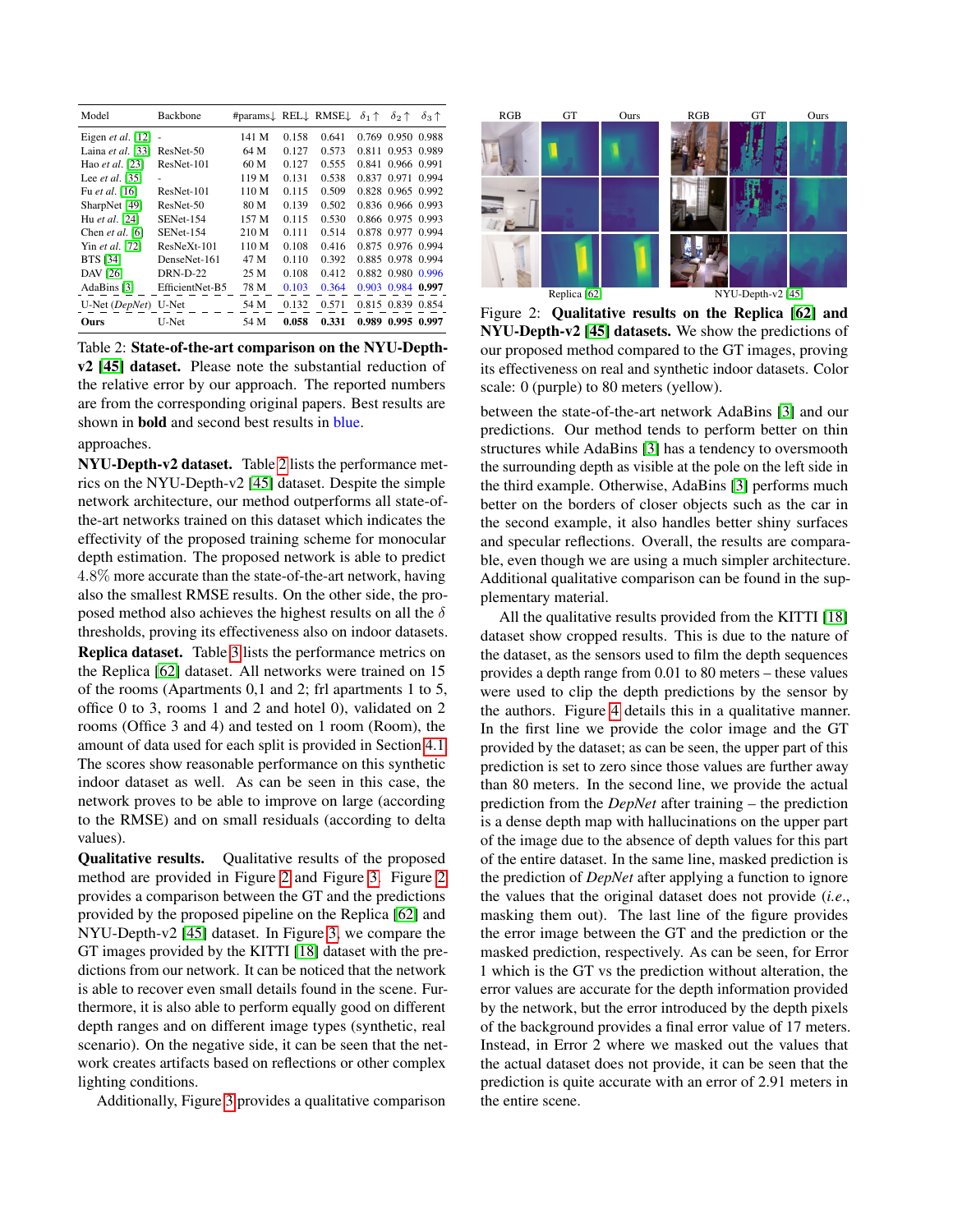<span id="page-5-0"></span>

| Model                | <b>Backbone</b>  | #params↓ REL↓ RMSE↓ |       |       | $\delta_1 \uparrow$ | $\delta_2 \uparrow$ | $\delta_3$ $\uparrow$ |
|----------------------|------------------|---------------------|-------|-------|---------------------|---------------------|-----------------------|
| Eigen et al. $[12]$  | ÷,               | 141 M               | 0.158 | 0.641 |                     | 0.769 0.950 0.988   |                       |
| Laina et al. [33]    | ResNet-50        | 64 M                | 0.127 | 0.573 | 0.811               | 0.953 0.989         |                       |
| Hao et al. [23]      | ResNet-101       | 60 M                | 0.127 | 0.555 | 0.841               | 0.966 0.991         |                       |
| Lee et al. $[35]$    | ٠                | 119 M               | 0.131 | 0.538 | 0.837               | 0.971               | 0.994                 |
| Fu et al. [16]       | ResNet-101       | 110 M               | 0.115 | 0.509 |                     | 0.828 0.965 0.992   |                       |
| SharpNet [49]        | ResNet-50        | 80 M                | 0.139 | 0.502 |                     | 0.836 0.966 0.993   |                       |
| Hu et al. [24]       | <b>SENet-154</b> | 157 M               | 0.115 | 0.530 |                     | 0.866 0.975 0.993   |                       |
| Chen et al. [6]      | <b>SENet-154</b> | 210 M               | 0.111 | 0.514 |                     | 0.878 0.977 0.994   |                       |
| Yin et al. [72]      | $ResNeXt-101$    | 110 M               | 0.108 | 0.416 |                     | 0.875 0.976 0.994   |                       |
| <b>BTS</b> [34]      | DenseNet-161     | 47 M                | 0.110 | 0.392 |                     | 0.885 0.978 0.994   |                       |
| <b>DAV</b> [26]      | <b>DRN-D-22</b>  | 25 M                | 0.108 | 0.412 |                     | 0.882 0.980 0.996   |                       |
| AdaBins [3]          | EfficientNet-B5  | 78 M                | 0.103 | 0.364 |                     | 0.903 0.984         | 0.997                 |
| U-Net (DepNet) U-Net |                  | 54 M                | 0.132 | 0.571 |                     | 0.815 0.839         | 0.854                 |
| Ours                 | U-Net            | 54 M                | 0.058 | 0.331 |                     | 0.989 0.995         | 0.997                 |

Table 2: State-of-the-art comparison on the NYU-Depthv2 [\[45\]](#page-9-3) dataset. Please note the substantial reduction of the relative error by our approach. The reported numbers are from the corresponding original papers. Best results are shown in **bold** and second best results in **blue**.

#### approaches.

NYU-Depth-v2 dataset. Table [2](#page-5-0) lists the performance metrics on the NYU-Depth-v2 [\[45\]](#page-9-3) dataset. Despite the simple network architecture, our method outperforms all state-ofthe-art networks trained on this dataset which indicates the effectivity of the proposed training scheme for monocular depth estimation. The proposed network is able to predict 4.8% more accurate than the state-of-the-art network, having also the smallest RMSE results. On the other side, the proposed method also achieves the highest results on all the  $\delta$ thresholds, proving its effectiveness also on indoor datasets. Replica dataset. Table [3](#page-7-1) lists the performance metrics on the Replica [\[62\]](#page-10-15) dataset. All networks were trained on 15 of the rooms (Apartments 0,1 and 2; frl apartments 1 to 5, office 0 to 3, rooms 1 and 2 and hotel 0), validated on 2 rooms (Office 3 and 4) and tested on 1 room (Room), the amount of data used for each split is provided in Section [4.1.](#page-3-1) The scores show reasonable performance on this synthetic indoor dataset as well. As can be seen in this case, the network proves to be able to improve on large (according to the RMSE) and on small residuals (according to delta

values). Qualitative results. Qualitative results of the proposed method are provided in Figure [2](#page-5-1) and Figure [3.](#page-6-0) Figure [2](#page-5-1) provides a comparison between the GT and the predictions provided by the proposed pipeline on the Replica [\[62\]](#page-10-15) and NYU-Depth-v2 [\[45\]](#page-9-3) dataset. In Figure [3,](#page-6-0) we compare the GT images provided by the KITTI [\[18\]](#page-8-1) dataset with the predictions from our network. It can be noticed that the network is able to recover even small details found in the scene. Furthermore, it is also able to perform equally good on different depth ranges and on different image types (synthetic, real scenario). On the negative side, it can be seen that the network creates artifacts based on reflections or other complex lighting conditions.

Additionally, Figure [3](#page-6-0) provides a qualitative comparison

<span id="page-5-1"></span>

Figure 2: Qualitative results on the Replica [\[62\]](#page-10-15) and NYU-Depth-v2 [\[45\]](#page-9-3) datasets. We show the predictions of our proposed method compared to the GT images, proving its effectiveness on real and synthetic indoor datasets. Color scale: 0 (purple) to 80 meters (yellow).

between the state-of-the-art network AdaBins [\[3\]](#page-8-9) and our predictions. Our method tends to perform better on thin structures while AdaBins [\[3\]](#page-8-9) has a tendency to oversmooth the surrounding depth as visible at the pole on the left side in the third example. Otherwise, AdaBins [\[3\]](#page-8-9) performs much better on the borders of closer objects such as the car in the second example, it also handles better shiny surfaces and specular reflections. Overall, the results are comparable, even though we are using a much simpler architecture. Additional qualitative comparison can be found in the supplementary material.

All the qualitative results provided from the KITTI [\[18\]](#page-8-1) dataset show cropped results. This is due to the nature of the dataset, as the sensors used to film the depth sequences provides a depth range from 0.01 to 80 meters – these values were used to clip the depth predictions by the sensor by the authors. Figure [4](#page-6-1) details this in a qualitative manner. In the first line we provide the color image and the GT provided by the dataset; as can be seen, the upper part of this prediction is set to zero since those values are further away than 80 meters. In the second line, we provide the actual prediction from the *DepNet* after training – the prediction is a dense depth map with hallucinations on the upper part of the image due to the absence of depth values for this part of the entire dataset. In the same line, masked prediction is the prediction of *DepNet* after applying a function to ignore the values that the original dataset does not provide (*i.e*., masking them out). The last line of the figure provides the error image between the GT and the prediction or the masked prediction, respectively. As can be seen, for Error 1 which is the GT vs the prediction without alteration, the error values are accurate for the depth information provided by the network, but the error introduced by the depth pixels of the background provides a final error value of 17 meters. Instead, in Error 2 where we masked out the values that the actual dataset does not provide, it can be seen that the prediction is quite accurate with an error of 2.91 meters in the entire scene.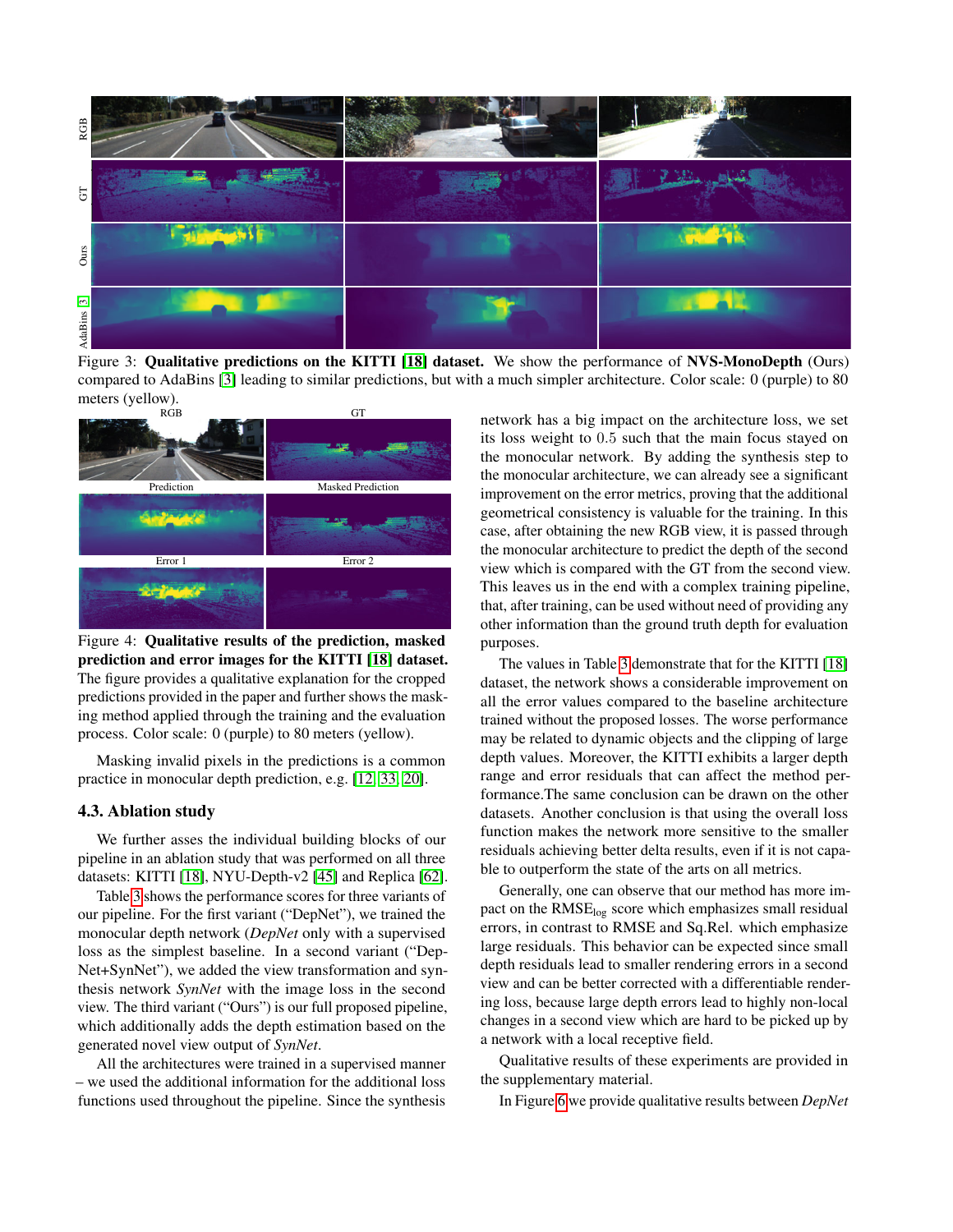<span id="page-6-0"></span>

Figure 3: Qualitative predictions on the KITTI [\[18\]](#page-8-1) dataset. We show the performance of NVS-MonoDepth (Ours) compared to AdaBins [\[3\]](#page-8-9) leading to similar predictions, but with a much simpler architecture. Color scale: 0 (purple) to 80 meters (yellow).<br>RGB

<span id="page-6-1"></span>

Figure 4: Qualitative results of the prediction, masked prediction and error images for the KITTI [\[18\]](#page-8-1) dataset. The figure provides a qualitative explanation for the cropped predictions provided in the paper and further shows the masking method applied through the training and the evaluation process. Color scale: 0 (purple) to 80 meters (yellow).

Masking invalid pixels in the predictions is a common practice in monocular depth prediction, e.g. [\[12,](#page-8-7) [33,](#page-9-12) [20\]](#page-8-23).

#### 4.3. Ablation study

We further asses the individual building blocks of our pipeline in an ablation study that was performed on all three datasets: KITTI [\[18\]](#page-8-1), NYU-Depth-v2 [\[45\]](#page-9-3) and Replica [\[62\]](#page-10-15).

Table [3](#page-7-1) shows the performance scores for three variants of our pipeline. For the first variant ("DepNet"), we trained the monocular depth network (*DepNet* only with a supervised loss as the simplest baseline. In a second variant ("Dep-Net+SynNet"), we added the view transformation and synthesis network *SynNet* with the image loss in the second view. The third variant ("Ours") is our full proposed pipeline, which additionally adds the depth estimation based on the generated novel view output of *SynNet*.

All the architectures were trained in a supervised manner – we used the additional information for the additional loss functions used throughout the pipeline. Since the synthesis network has a big impact on the architecture loss, we set its loss weight to 0.5 such that the main focus stayed on the monocular network. By adding the synthesis step to the monocular architecture, we can already see a significant improvement on the error metrics, proving that the additional geometrical consistency is valuable for the training. In this case, after obtaining the new RGB view, it is passed through the monocular architecture to predict the depth of the second view which is compared with the GT from the second view. This leaves us in the end with a complex training pipeline, that, after training, can be used without need of providing any other information than the ground truth depth for evaluation purposes.

The values in Table [3](#page-7-1) demonstrate that for the KITTI [\[18\]](#page-8-1) dataset, the network shows a considerable improvement on all the error values compared to the baseline architecture trained without the proposed losses. The worse performance may be related to dynamic objects and the clipping of large depth values. Moreover, the KITTI exhibits a larger depth range and error residuals that can affect the method performance.The same conclusion can be drawn on the other datasets. Another conclusion is that using the overall loss function makes the network more sensitive to the smaller residuals achieving better delta results, even if it is not capable to outperform the state of the arts on all metrics.

Generally, one can observe that our method has more impact on the RMSE<sub>log</sub> score which emphasizes small residual errors, in contrast to RMSE and Sq.Rel. which emphasize large residuals. This behavior can be expected since small depth residuals lead to smaller rendering errors in a second view and can be better corrected with a differentiable rendering loss, because large depth errors lead to highly non-local changes in a second view which are hard to be picked up by a network with a local receptive field.

Qualitative results of these experiments are provided in the supplementary material.

In Figure [6](#page-7-2) we provide qualitative results between *DepNet*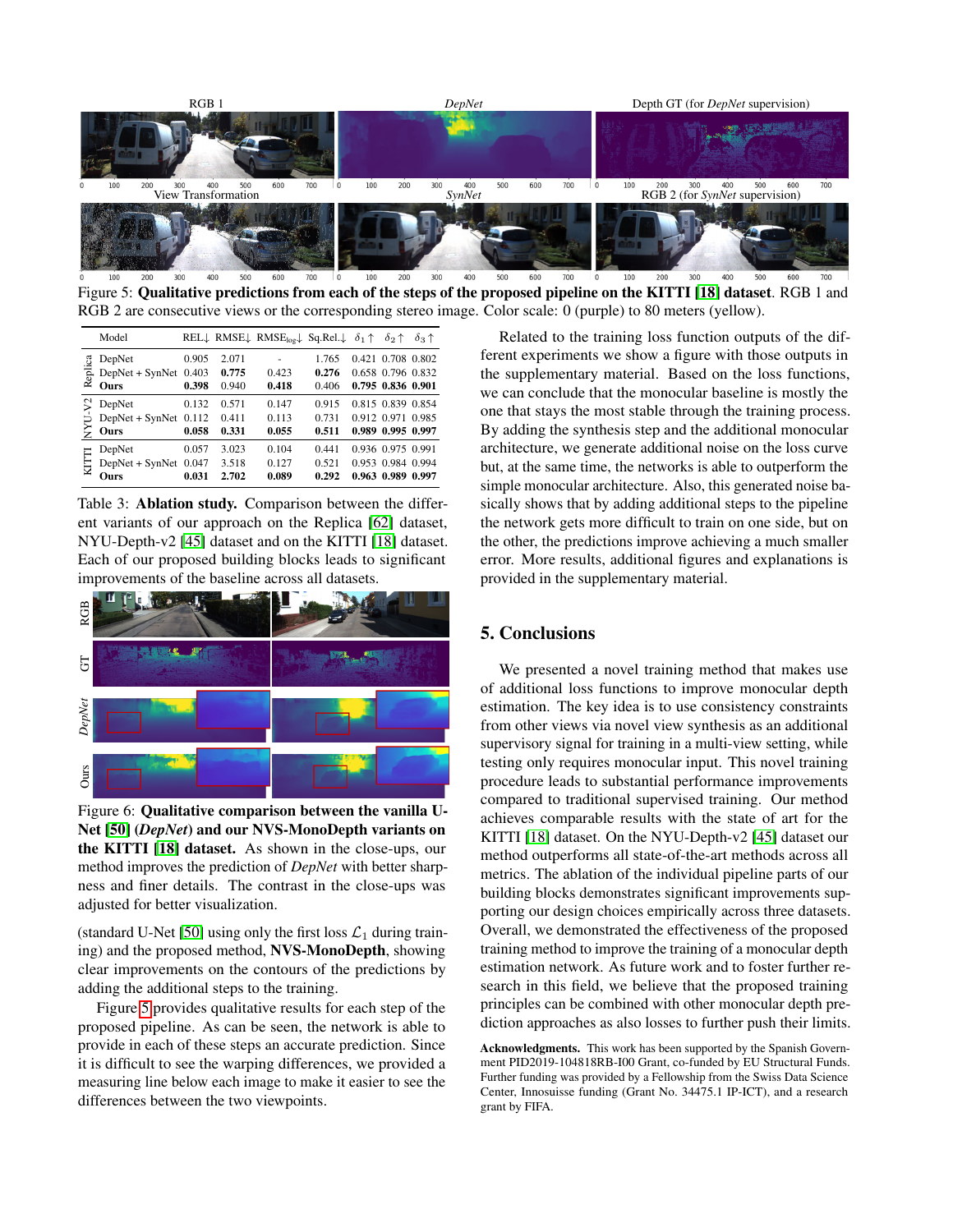<span id="page-7-0"></span>

Figure 5: Qualitative predictions from each of the steps of the proposed pipeline on the KITTI [\[18\]](#page-8-1) dataset. RGB 1 and RGB 2 are consecutive views or the corresponding stereo image. Color scale: 0 (purple) to 80 meters (yellow).

<span id="page-7-1"></span>

|         | Model                   |       |       | REL <sub>↓</sub> RMSE <sub>↓</sub> RMSE <sub>log</sub> Sq.Rel. $\phi_1 \uparrow \phi_2 \uparrow$ |       |                   | $\delta_3$ $\uparrow$ |
|---------|-------------------------|-------|-------|--------------------------------------------------------------------------------------------------|-------|-------------------|-----------------------|
| Replica | DepNet                  | 0.905 | 2.071 |                                                                                                  | 1.765 | 0.421 0.708 0.802 |                       |
|         | DepNet + SynNet 0.403   |       | 0.775 | 0.423                                                                                            | 0.276 | 0.658 0.796 0.832 |                       |
|         | Ours                    | 0.398 | 0.940 | 0.418                                                                                            | 0.406 | 0.795 0.836 0.901 |                       |
|         | DepNet                  | 0.132 | 0.571 | 0.147                                                                                            | 0.915 | 0.815 0.839 0.854 |                       |
|         | DepNet + SynNet $0.112$ |       | 0.411 | 0.113                                                                                            | 0.731 | 0.912 0.971 0.985 |                       |
| ξ       | Ours                    | 0.058 | 0.331 | 0.055                                                                                            | 0.511 | 0.989 0.995 0.997 |                       |
| ⋿       | DepNet                  | 0.057 | 3.023 | 0.104                                                                                            | 0.441 | 0.936 0.975 0.991 |                       |
|         | $DepNet + SynNet$       | 0.047 | 3.518 | 0.127                                                                                            | 0.521 | 0.953 0.984 0.994 |                       |
|         | Ours                    | 0.031 | 2.702 | 0.089                                                                                            | 0.292 | 0.963 0.989 0.997 |                       |

Table 3: Ablation study. Comparison between the different variants of our approach on the Replica [\[62\]](#page-10-15) dataset, NYU-Depth-v2 [\[45\]](#page-9-3) dataset and on the KITTI [\[18\]](#page-8-1) dataset. Each of our proposed building blocks leads to significant improvements of the baseline across all datasets.

<span id="page-7-2"></span>

Figure 6: Qualitative comparison between the vanilla U-Net [\[50\]](#page-9-20) (*DepNet*) and our NVS-MonoDepth variants on the KITTI [\[18\]](#page-8-1) dataset. As shown in the close-ups, our method improves the prediction of *DepNet* with better sharpness and finer details. The contrast in the close-ups was adjusted for better visualization.

(standard U-Net [\[50\]](#page-9-20) using only the first loss  $\mathcal{L}_1$  during training) and the proposed method, NVS-MonoDepth, showing clear improvements on the contours of the predictions by adding the additional steps to the training.

Figure [5](#page-7-0) provides qualitative results for each step of the proposed pipeline. As can be seen, the network is able to provide in each of these steps an accurate prediction. Since it is difficult to see the warping differences, we provided a measuring line below each image to make it easier to see the differences between the two viewpoints.

Related to the training loss function outputs of the different experiments we show a figure with those outputs in the supplementary material. Based on the loss functions, we can conclude that the monocular baseline is mostly the one that stays the most stable through the training process. By adding the synthesis step and the additional monocular architecture, we generate additional noise on the loss curve but, at the same time, the networks is able to outperform the simple monocular architecture. Also, this generated noise basically shows that by adding additional steps to the pipeline the network gets more difficult to train on one side, but on the other, the predictions improve achieving a much smaller error. More results, additional figures and explanations is provided in the supplementary material.

# 5. Conclusions

We presented a novel training method that makes use of additional loss functions to improve monocular depth estimation. The key idea is to use consistency constraints from other views via novel view synthesis as an additional supervisory signal for training in a multi-view setting, while testing only requires monocular input. This novel training procedure leads to substantial performance improvements compared to traditional supervised training. Our method achieves comparable results with the state of art for the KITTI [\[18\]](#page-8-1) dataset. On the NYU-Depth-v2 [\[45\]](#page-9-3) dataset our method outperforms all state-of-the-art methods across all metrics. The ablation of the individual pipeline parts of our building blocks demonstrates significant improvements supporting our design choices empirically across three datasets. Overall, we demonstrated the effectiveness of the proposed training method to improve the training of a monocular depth estimation network. As future work and to foster further research in this field, we believe that the proposed training principles can be combined with other monocular depth prediction approaches as also losses to further push their limits.

Acknowledgments. This work has been supported by the Spanish Government PID2019-104818RB-I00 Grant, co-funded by EU Structural Funds. Further funding was provided by a Fellowship from the Swiss Data Science Center, Innosuisse funding (Grant No. 34475.1 IP-ICT), and a research grant by FIFA.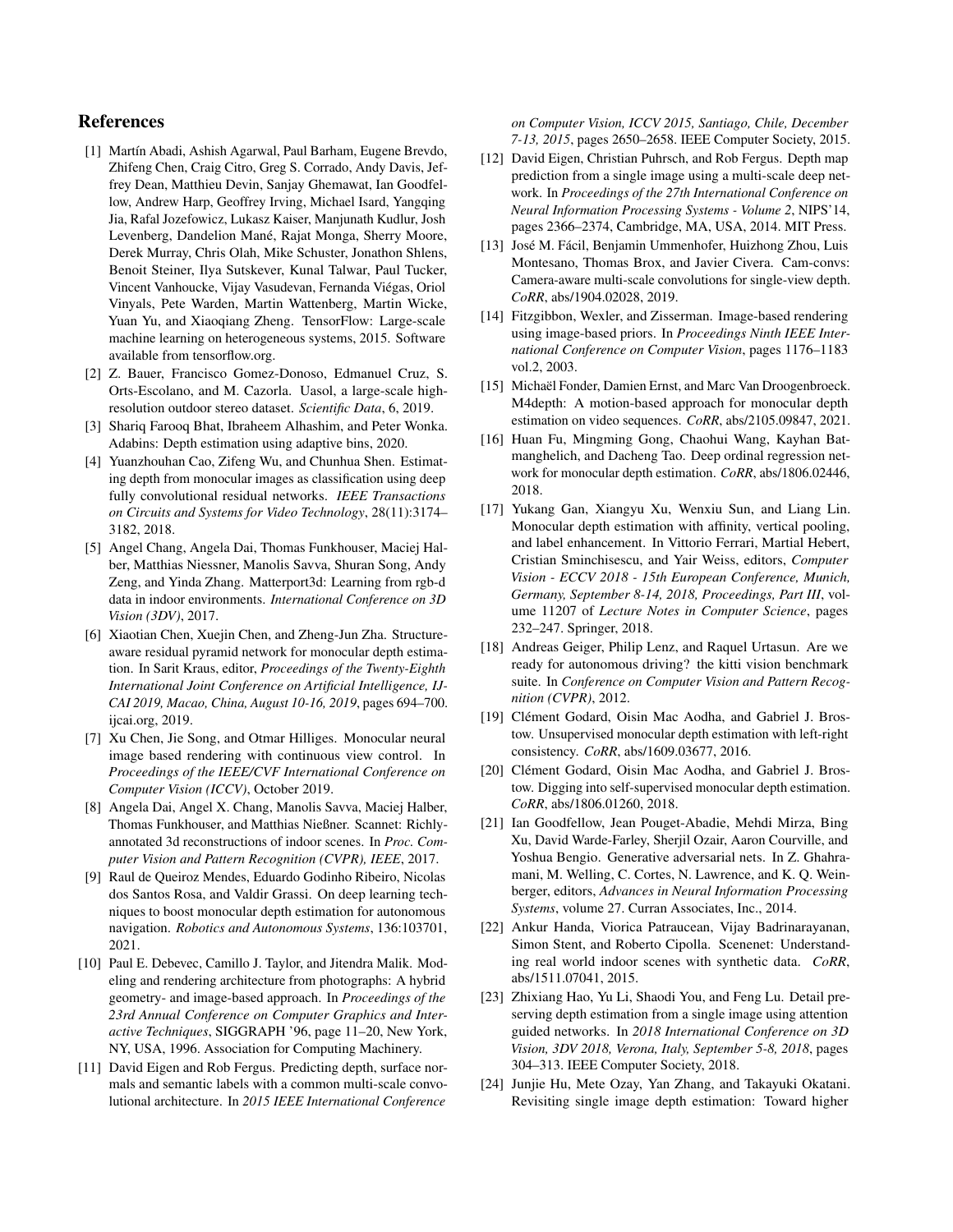## References

- <span id="page-8-16"></span>[1] Martín Abadi, Ashish Agarwal, Paul Barham, Eugene Brevdo, Zhifeng Chen, Craig Citro, Greg S. Corrado, Andy Davis, Jeffrey Dean, Matthieu Devin, Sanjay Ghemawat, Ian Goodfellow, Andrew Harp, Geoffrey Irving, Michael Isard, Yangqing Jia, Rafal Jozefowicz, Lukasz Kaiser, Manjunath Kudlur, Josh Levenberg, Dandelion Mané, Rajat Monga, Sherry Moore, Derek Murray, Chris Olah, Mike Schuster, Jonathon Shlens, Benoit Steiner, Ilya Sutskever, Kunal Talwar, Paul Tucker, Vincent Vanhoucke, Vijay Vasudevan, Fernanda Viégas, Oriol Vinyals, Pete Warden, Martin Wattenberg, Martin Wicke, Yuan Yu, and Xiaoqiang Zheng. TensorFlow: Large-scale machine learning on heterogeneous systems, 2015. Software available from tensorflow.org.
- <span id="page-8-20"></span>[2] Z. Bauer, Francisco Gomez-Donoso, Edmanuel Cruz, S. Orts-Escolano, and M. Cazorla. Uasol, a large-scale highresolution outdoor stereo dataset. *Scientific Data*, 6, 2019.
- <span id="page-8-9"></span>[3] Shariq Farooq Bhat, Ibraheem Alhashim, and Peter Wonka. Adabins: Depth estimation using adaptive bins, 2020.
- <span id="page-8-4"></span>[4] Yuanzhouhan Cao, Zifeng Wu, and Chunhua Shen. Estimating depth from monocular images as classification using deep fully convolutional residual networks. *IEEE Transactions on Circuits and Systems for Video Technology*, 28(11):3174– 3182, 2018.
- <span id="page-8-18"></span>[5] Angel Chang, Angela Dai, Thomas Funkhouser, Maciej Halber, Matthias Niessner, Manolis Savva, Shuran Song, Andy Zeng, and Yinda Zhang. Matterport3d: Learning from rgb-d data in indoor environments. *International Conference on 3D Vision (3DV)*, 2017.
- <span id="page-8-13"></span>[6] Xiaotian Chen, Xuejin Chen, and Zheng-Jun Zha. Structureaware residual pyramid network for monocular depth estimation. In Sarit Kraus, editor, *Proceedings of the Twenty-Eighth International Joint Conference on Artificial Intelligence, IJ-CAI 2019, Macao, China, August 10-16, 2019*, pages 694–700. ijcai.org, 2019.
- <span id="page-8-0"></span>[7] Xu Chen, Jie Song, and Otmar Hilliges. Monocular neural image based rendering with continuous view control. In *Proceedings of the IEEE/CVF International Conference on Computer Vision (ICCV)*, October 2019.
- <span id="page-8-19"></span>[8] Angela Dai, Angel X. Chang, Manolis Savva, Maciej Halber, Thomas Funkhouser, and Matthias Nießner. Scannet: Richlyannotated 3d reconstructions of indoor scenes. In *Proc. Computer Vision and Pattern Recognition (CVPR), IEEE*, 2017.
- <span id="page-8-3"></span>[9] Raul de Queiroz Mendes, Eduardo Godinho Ribeiro, Nicolas dos Santos Rosa, and Valdir Grassi. On deep learning techniques to boost monocular depth estimation for autonomous navigation. *Robotics and Autonomous Systems*, 136:103701, 2021.
- <span id="page-8-14"></span>[10] Paul E. Debevec, Camillo J. Taylor, and Jitendra Malik. Modeling and rendering architecture from photographs: A hybrid geometry- and image-based approach. In *Proceedings of the 23rd Annual Conference on Computer Graphics and Interactive Techniques*, SIGGRAPH '96, page 11–20, New York, NY, USA, 1996. Association for Computing Machinery.
- <span id="page-8-10"></span>[11] David Eigen and Rob Fergus. Predicting depth, surface normals and semantic labels with a common multi-scale convolutional architecture. In *2015 IEEE International Conference*

*on Computer Vision, ICCV 2015, Santiago, Chile, December 7-13, 2015*, pages 2650–2658. IEEE Computer Society, 2015.

- <span id="page-8-7"></span>[12] David Eigen, Christian Puhrsch, and Rob Fergus. Depth map prediction from a single image using a multi-scale deep network. In *Proceedings of the 27th International Conference on Neural Information Processing Systems - Volume 2*, NIPS'14, pages 2366–2374, Cambridge, MA, USA, 2014. MIT Press.
- <span id="page-8-6"></span>[13] José M. Fácil, Benjamin Ummenhofer, Huizhong Zhou, Luis Montesano, Thomas Brox, and Javier Civera. Cam-convs: Camera-aware multi-scale convolutions for single-view depth. *CoRR*, abs/1904.02028, 2019.
- <span id="page-8-15"></span>[14] Fitzgibbon, Wexler, and Zisserman. Image-based rendering using image-based priors. In *Proceedings Ninth IEEE International Conference on Computer Vision*, pages 1176–1183 vol.2, 2003.
- <span id="page-8-21"></span>[15] Michaël Fonder, Damien Ernst, and Marc Van Droogenbroeck. M4depth: A motion-based approach for monocular depth estimation on video sequences. *CoRR*, abs/2105.09847, 2021.
- <span id="page-8-8"></span>[16] Huan Fu, Mingming Gong, Chaohui Wang, Kayhan Batmanghelich, and Dacheng Tao. Deep ordinal regression network for monocular depth estimation. *CoRR*, abs/1806.02446, 2018.
- <span id="page-8-2"></span>[17] Yukang Gan, Xiangyu Xu, Wenxiu Sun, and Liang Lin. Monocular depth estimation with affinity, vertical pooling, and label enhancement. In Vittorio Ferrari, Martial Hebert, Cristian Sminchisescu, and Yair Weiss, editors, *Computer Vision - ECCV 2018 - 15th European Conference, Munich, Germany, September 8-14, 2018, Proceedings, Part III*, volume 11207 of *Lecture Notes in Computer Science*, pages 232–247. Springer, 2018.
- <span id="page-8-1"></span>[18] Andreas Geiger, Philip Lenz, and Raquel Urtasun. Are we ready for autonomous driving? the kitti vision benchmark suite. In *Conference on Computer Vision and Pattern Recognition (CVPR)*, 2012.
- <span id="page-8-11"></span>[19] Clément Godard, Oisin Mac Aodha, and Gabriel J. Brostow. Unsupervised monocular depth estimation with left-right consistency. *CoRR*, abs/1609.03677, 2016.
- <span id="page-8-23"></span>[20] Clément Godard, Oisin Mac Aodha, and Gabriel J. Brostow. Digging into self-supervised monocular depth estimation. *CoRR*, abs/1806.01260, 2018.
- <span id="page-8-5"></span>[21] Ian Goodfellow, Jean Pouget-Abadie, Mehdi Mirza, Bing Xu, David Warde-Farley, Sherjil Ozair, Aaron Courville, and Yoshua Bengio. Generative adversarial nets. In Z. Ghahramani, M. Welling, C. Cortes, N. Lawrence, and K. Q. Weinberger, editors, *Advances in Neural Information Processing Systems*, volume 27. Curran Associates, Inc., 2014.
- <span id="page-8-17"></span>[22] Ankur Handa, Viorica Patraucean, Vijay Badrinarayanan, Simon Stent, and Roberto Cipolla. Scenenet: Understanding real world indoor scenes with synthetic data. *CoRR*, abs/1511.07041, 2015.
- <span id="page-8-22"></span>[23] Zhixiang Hao, Yu Li, Shaodi You, and Feng Lu. Detail preserving depth estimation from a single image using attention guided networks. In *2018 International Conference on 3D Vision, 3DV 2018, Verona, Italy, September 5-8, 2018*, pages 304–313. IEEE Computer Society, 2018.
- <span id="page-8-12"></span>[24] Junjie Hu, Mete Ozay, Yan Zhang, and Takayuki Okatani. Revisiting single image depth estimation: Toward higher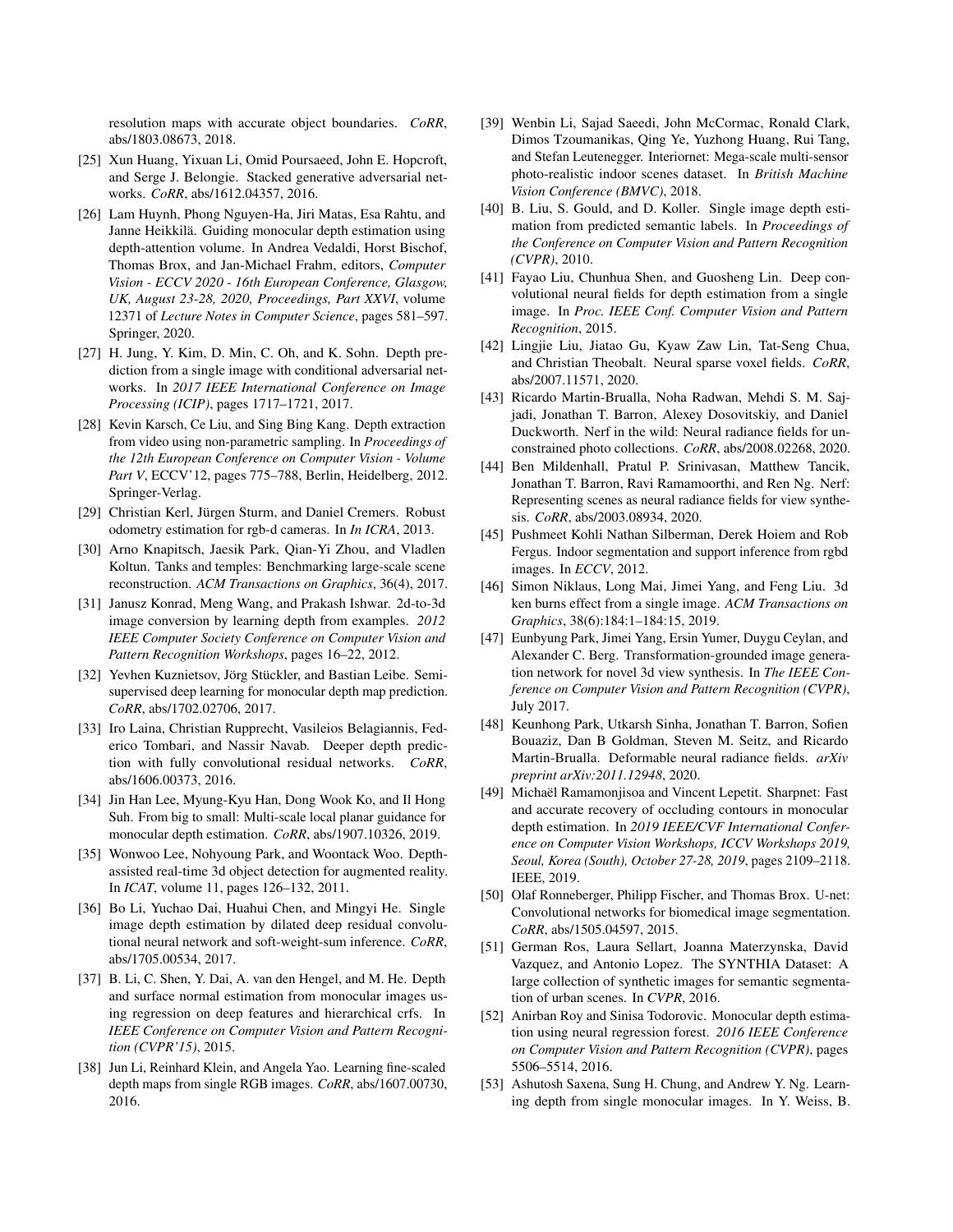resolution maps with accurate object boundaries. *CoRR*, abs/1803.08673, 2018.

- <span id="page-9-16"></span>[25] Xun Huang, Yixuan Li, Omid Poursaeed, John E. Hopcroft, and Serge J. Belongie. Stacked generative adversarial networks. *CoRR*, abs/1612.04357, 2016.
- <span id="page-9-28"></span>[26] Lam Huynh, Phong Nguyen-Ha, Jiri Matas, Esa Rahtu, and Janne Heikkilä. Guiding monocular depth estimation using depth-attention volume. In Andrea Vedaldi, Horst Bischof, Thomas Brox, and Jan-Michael Frahm, editors, *Computer Vision - ECCV 2020 - 16th European Conference, Glasgow, UK, August 23-28, 2020, Proceedings, Part XXVI*, volume 12371 of *Lecture Notes in Computer Science*, pages 581–597. Springer, 2020.
- <span id="page-9-15"></span>[27] H. Jung, Y. Kim, D. Min, C. Oh, and K. Sohn. Depth prediction from a single image with conditional adversarial networks. In *2017 IEEE International Conference on Image Processing (ICIP)*, pages 1717–1721, 2017.
- <span id="page-9-6"></span>[28] Kevin Karsch, Ce Liu, and Sing Bing Kang. Depth extraction from video using non-parametric sampling. In *Proceedings of the 12th European Conference on Computer Vision - Volume Part V*, ECCV'12, pages 775–788, Berlin, Heidelberg, 2012. Springer-Verlag.
- <span id="page-9-8"></span>[29] Christian Kerl, Jürgen Sturm, and Daniel Cremers. Robust odometry estimation for rgb-d cameras. In *In ICRA*, 2013.
- <span id="page-9-26"></span>[30] Arno Knapitsch, Jaesik Park, Qian-Yi Zhou, and Vladlen Koltun. Tanks and temples: Benchmarking large-scale scene reconstruction. *ACM Transactions on Graphics*, 36(4), 2017.
- <span id="page-9-7"></span>[31] Janusz Konrad, Meng Wang, and Prakash Ishwar. 2d-to-3d image conversion by learning depth from examples. *2012 IEEE Computer Society Conference on Computer Vision and Pattern Recognition Workshops*, pages 16–22, 2012.
- <span id="page-9-18"></span>[32] Yevhen Kuznietsov, Jörg Stückler, and Bastian Leibe. Semisupervised deep learning for monocular depth map prediction. *CoRR*, abs/1702.02706, 2017.
- <span id="page-9-12"></span>[33] Iro Laina, Christian Rupprecht, Vasileios Belagiannis, Federico Tombari, and Nassir Navab. Deeper depth prediction with fully convolutional residual networks. *CoRR*, abs/1606.00373, 2016.
- <span id="page-9-17"></span>[34] Jin Han Lee, Myung-Kyu Han, Dong Wook Ko, and Il Hong Suh. From big to small: Multi-scale local planar guidance for monocular depth estimation. *CoRR*, abs/1907.10326, 2019.
- <span id="page-9-27"></span>[35] Wonwoo Lee, Nohyoung Park, and Woontack Woo. Depthassisted real-time 3d object detection for augmented reality. In *ICAT*, volume 11, pages 126–132, 2011.
- <span id="page-9-14"></span>[36] Bo Li, Yuchao Dai, Huahui Chen, and Mingyi He. Single image depth estimation by dilated deep residual convolutional neural network and soft-weight-sum inference. *CoRR*, abs/1705.00534, 2017.
- <span id="page-9-10"></span>[37] B. Li, C. Shen, Y. Dai, A. van den Hengel, and M. He. Depth and surface normal estimation from monocular images using regression on deep features and hierarchical crfs. In *IEEE Conference on Computer Vision and Pattern Recognition (CVPR'15)*, 2015.
- <span id="page-9-13"></span>[38] Jun Li, Reinhard Klein, and Angela Yao. Learning fine-scaled depth maps from single RGB images. *CoRR*, abs/1607.00730, 2016.
- <span id="page-9-24"></span>[39] Wenbin Li, Sajad Saeedi, John McCormac, Ronald Clark, Dimos Tzoumanikas, Qing Ye, Yuzhong Huang, Rui Tang, and Stefan Leutenegger. Interiornet: Mega-scale multi-sensor photo-realistic indoor scenes dataset. In *British Machine Vision Conference (BMVC)*, 2018.
- <span id="page-9-5"></span>[40] B. Liu, S. Gould, and D. Koller. Single image depth estimation from predicted semantic labels. In *Proceedings of the Conference on Computer Vision and Pattern Recognition (CVPR)*, 2010.
- <span id="page-9-9"></span>[41] Fayao Liu, Chunhua Shen, and Guosheng Lin. Deep convolutional neural fields for depth estimation from a single image. In *Proc. IEEE Conf. Computer Vision and Pattern Recognition*, 2015.
- <span id="page-9-23"></span>[42] Lingjie Liu, Jiatao Gu, Kyaw Zaw Lin, Tat-Seng Chua, and Christian Theobalt. Neural sparse voxel fields. *CoRR*, abs/2007.11571, 2020.
- <span id="page-9-2"></span>[43] Ricardo Martin-Brualla, Noha Radwan, Mehdi S. M. Sajjadi, Jonathan T. Barron, Alexey Dosovitskiy, and Daniel Duckworth. Nerf in the wild: Neural radiance fields for unconstrained photo collections. *CoRR*, abs/2008.02268, 2020.
- <span id="page-9-1"></span>[44] Ben Mildenhall, Pratul P. Srinivasan, Matthew Tancik, Jonathan T. Barron, Ravi Ramamoorthi, and Ren Ng. Nerf: Representing scenes as neural radiance fields for view synthesis. *CoRR*, abs/2003.08934, 2020.
- <span id="page-9-3"></span>[45] Pushmeet Kohli Nathan Silberman, Derek Hoiem and Rob Fergus. Indoor segmentation and support inference from rgbd images. In *ECCV*, 2012.
- <span id="page-9-0"></span>[46] Simon Niklaus, Long Mai, Jimei Yang, and Feng Liu. 3d ken burns effect from a single image. *ACM Transactions on Graphics*, 38(6):184:1–184:15, 2019.
- <span id="page-9-21"></span>[47] Eunbyung Park, Jimei Yang, Ersin Yumer, Duygu Ceylan, and Alexander C. Berg. Transformation-grounded image generation network for novel 3d view synthesis. In *The IEEE Conference on Computer Vision and Pattern Recognition (CVPR)*, July 2017.
- <span id="page-9-22"></span>[48] Keunhong Park, Utkarsh Sinha, Jonathan T. Barron, Sofien Bouaziz, Dan B Goldman, Steven M. Seitz, and Ricardo Martin-Brualla. Deformable neural radiance fields. *arXiv preprint arXiv:2011.12948*, 2020.
- <span id="page-9-19"></span>[49] Michaël Ramamonjisoa and Vincent Lepetit. Sharpnet: Fast and accurate recovery of occluding contours in monocular depth estimation. In *2019 IEEE/CVF International Conference on Computer Vision Workshops, ICCV Workshops 2019, Seoul, Korea (South), October 27-28, 2019*, pages 2109–2118. IEEE, 2019.
- <span id="page-9-20"></span>[50] Olaf Ronneberger, Philipp Fischer, and Thomas Brox. U-net: Convolutional networks for biomedical image segmentation. *CoRR*, abs/1505.04597, 2015.
- <span id="page-9-25"></span>[51] German Ros, Laura Sellart, Joanna Materzynska, David Vazquez, and Antonio Lopez. The SYNTHIA Dataset: A large collection of synthetic images for semantic segmentation of urban scenes. In *CVPR*, 2016.
- <span id="page-9-11"></span>[52] Anirban Roy and Sinisa Todorovic. Monocular depth estimation using neural regression forest. *2016 IEEE Conference on Computer Vision and Pattern Recognition (CVPR)*, pages 5506–5514, 2016.
- <span id="page-9-4"></span>[53] Ashutosh Saxena, Sung H. Chung, and Andrew Y. Ng. Learning depth from single monocular images. In Y. Weiss, B.